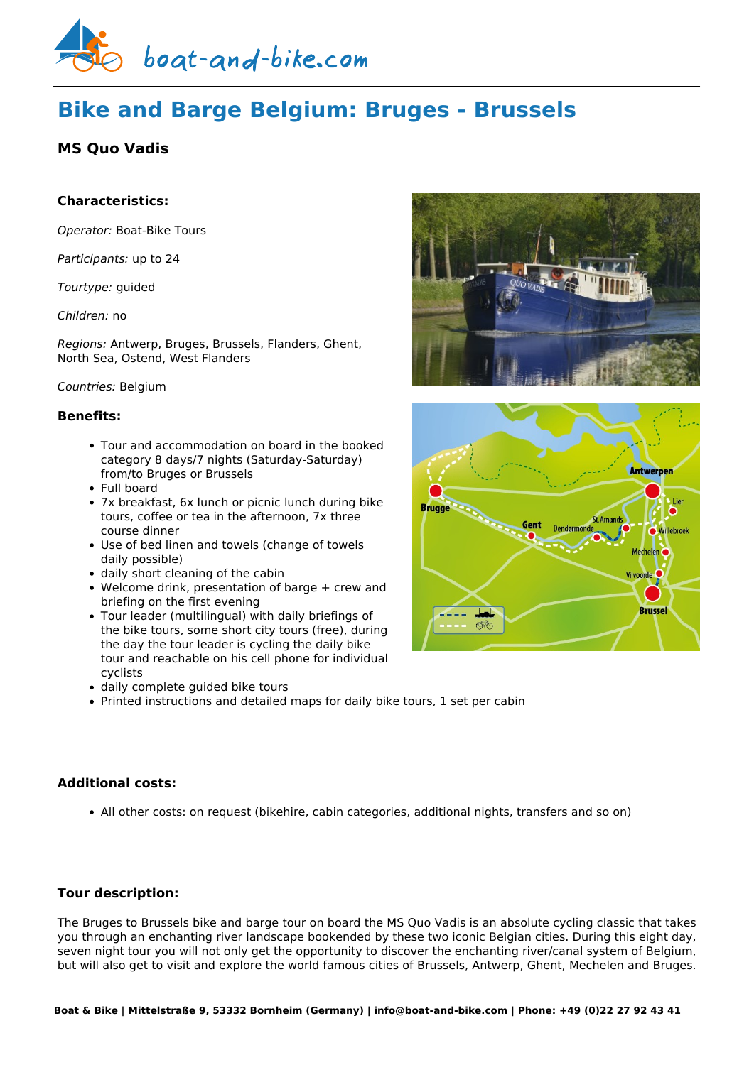

# **Bike and Barge Belgium: Bruges - Brussels**

## **MS Quo Vadis**

## **Characteristics:**

*Operator:* [Boat-Bike Tours](https://www.boat-and-bike.com/operator/boat-bike-tours.html)

*Participants:* up to 24

*Tourtype:* guided

#### *Children:* no

*Regions:* Antwerp, Bruges, Brussels, Flanders, Ghent, North Sea, Ostend, West Flanders

#### *Countries:* Belgium

#### **Benefits:**

- Tour and accommodation on board in the booked category 8 days/7 nights (Saturday-Saturday) from/to Bruges or Brussels
- Full board
- 7x breakfast, 6x lunch or picnic lunch during bike tours, coffee or tea in the afternoon, 7x three course dinner
- Use of bed linen and towels (change of towels daily possible)
- daily short cleaning of the cabin
- Welcome drink, presentation of barge + crew and briefing on the first evening
- Tour leader (multilingual) with daily briefings of the bike tours, some short city tours (free), during the day the tour leader is cycling the daily bike tour and reachable on his cell phone for individual cyclists
- daily complete guided bike tours
- Printed instructions and detailed maps for daily bike tours, 1 set per cabin

## **Additional costs:**

All other costs: on request (bikehire, cabin categories, additional nights, transfers and so on)

### **Tour description:**

The Bruges to Brussels bike and barge tour on board the MS Quo Vadis is an absolute cycling classic that takes you through an enchanting river landscape bookended by these two iconic Belgian cities. During this eight day, seven night tour you will not only get the opportunity to discover the enchanting river/canal system of Belgium, but will also get to visit and explore the world famous cities of Brussels, Antwerp, Ghent, Mechelen and Bruges.



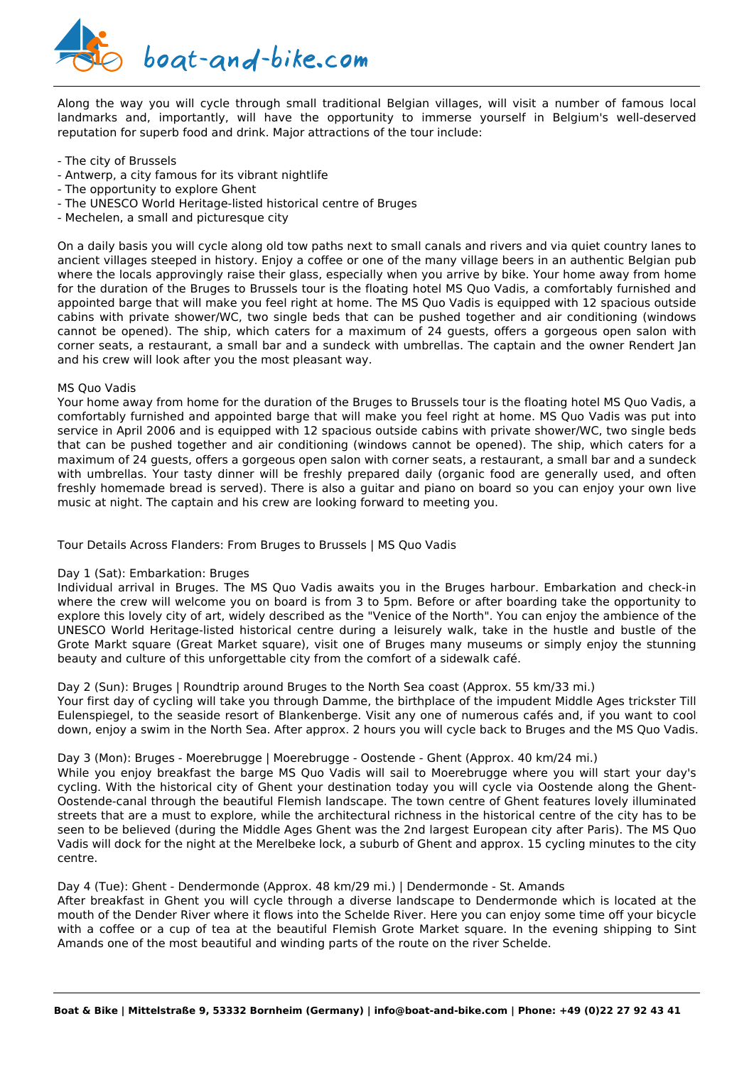

Along the way you will cycle through small traditional Belgian villages, will visit a number of famous local landmarks and, importantly, will have the opportunity to immerse yourself in Belgium's well-deserved reputation for superb food and drink. Major attractions of the tour include:

- The city of Brussels
- Antwerp, a city famous for its vibrant nightlife
- The opportunity to explore Ghent
- The UNESCO World Heritage-listed historical centre of Bruges
- Mechelen, a small and picturesque city

On a daily basis you will cycle along old tow paths next to small canals and rivers and via quiet country lanes to ancient villages steeped in history. Enjoy a coffee or one of the many village beers in an authentic Belgian pub where the locals approvingly raise their glass, especially when you arrive by bike. Your home away from home for the duration of the Bruges to Brussels tour is the floating hotel MS Quo Vadis, a comfortably furnished and appointed barge that will make you feel right at home. The MS Quo Vadis is equipped with 12 spacious outside cabins with private shower/WC, two single beds that can be pushed together and air conditioning (windows cannot be opened). The ship, which caters for a maximum of 24 guests, offers a gorgeous open salon with corner seats, a restaurant, a small bar and a sundeck with umbrellas. The captain and the owner Rendert Jan and his crew will look after you the most pleasant way.

#### MS Quo Vadis

Your home away from home for the duration of the Bruges to Brussels tour is the floating hotel MS Quo Vadis, a comfortably furnished and appointed barge that will make you feel right at home. MS Quo Vadis was put into service in April 2006 and is equipped with 12 spacious outside cabins with private shower/WC, two single beds that can be pushed together and air conditioning (windows cannot be opened). The ship, which caters for a maximum of 24 guests, offers a gorgeous open salon with corner seats, a restaurant, a small bar and a sundeck with umbrellas. Your tasty dinner will be freshly prepared daily (organic food are generally used, and often freshly homemade bread is served). There is also a guitar and piano on board so you can enjoy your own live music at night. The captain and his crew are looking forward to meeting you.

Tour Details Across Flanders: From Bruges to Brussels | MS Quo Vadis

#### Day 1 (Sat): Embarkation: Bruges

Individual arrival in Bruges. The MS Quo Vadis awaits you in the Bruges harbour. Embarkation and check-in where the crew will welcome you on board is from 3 to 5pm. Before or after boarding take the opportunity to explore this lovely city of art, widely described as the "Venice of the North". You can enjoy the ambience of the UNESCO World Heritage-listed historical centre during a leisurely walk, take in the hustle and bustle of the Grote Markt square (Great Market square), visit one of Bruges many museums or simply enjoy the stunning beauty and culture of this unforgettable city from the comfort of a sidewalk café.

#### Day 2 (Sun): Bruges | Roundtrip around Bruges to the North Sea coast (Approx. 55 km/33 mi.)

Your first day of cycling will take you through Damme, the birthplace of the impudent Middle Ages trickster Till Eulenspiegel, to the seaside resort of Blankenberge. Visit any one of numerous cafés and, if you want to cool down, enjoy a swim in the North Sea. After approx. 2 hours you will cycle back to Bruges and the MS Quo Vadis.

#### Day 3 (Mon): Bruges - Moerebrugge | Moerebrugge - Oostende - Ghent (Approx. 40 km/24 mi.)

While you enjoy breakfast the barge MS Quo Vadis will sail to Moerebrugge where you will start your day's cycling. With the historical city of Ghent your destination today you will cycle via Oostende along the Ghent-Oostende-canal through the beautiful Flemish landscape. The town centre of Ghent features lovely illuminated streets that are a must to explore, while the architectural richness in the historical centre of the city has to be seen to be believed (during the Middle Ages Ghent was the 2nd largest European city after Paris). The MS Quo Vadis will dock for the night at the Merelbeke lock, a suburb of Ghent and approx. 15 cycling minutes to the city centre.

#### Day 4 (Tue): Ghent - Dendermonde (Approx. 48 km/29 mi.) | Dendermonde - St. Amands

After breakfast in Ghent you will cycle through a diverse landscape to Dendermonde which is located at the mouth of the Dender River where it flows into the Schelde River. Here you can enjoy some time off your bicycle with a coffee or a cup of tea at the beautiful Flemish Grote Market square. In the evening shipping to Sint Amands one of the most beautiful and winding parts of the route on the river Schelde.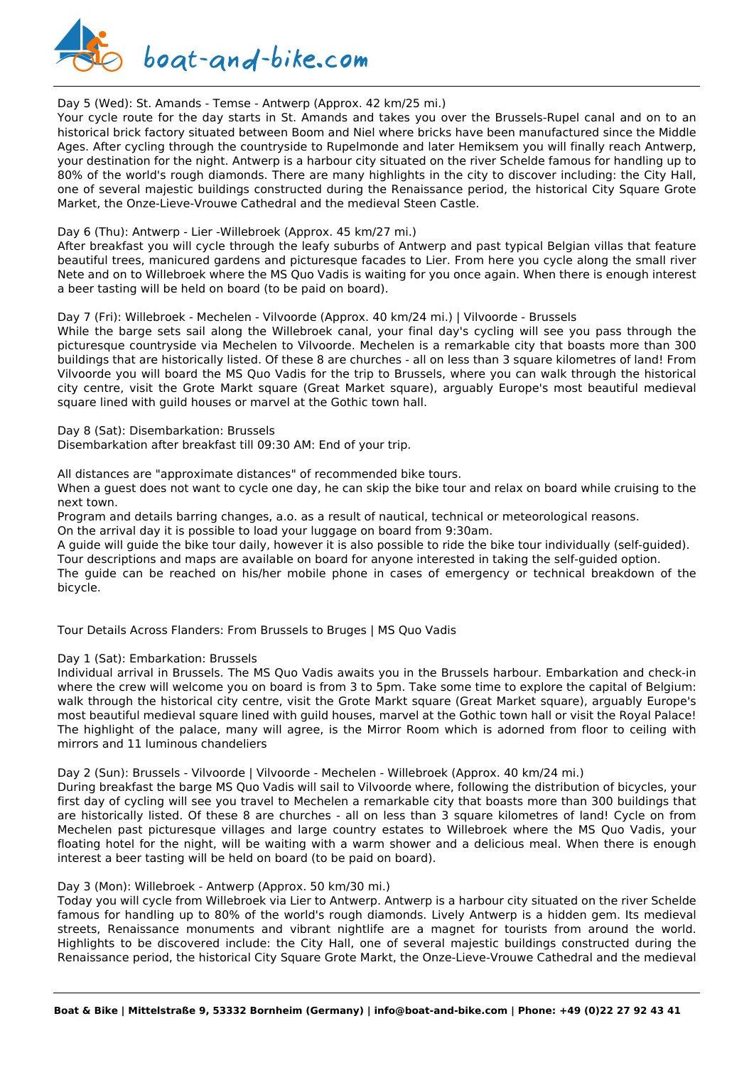

#### Day 5 (Wed): St. Amands - Temse - Antwerp (Approx. 42 km/25 mi.)

Your cycle route for the day starts in St. Amands and takes you over the Brussels-Rupel canal and on to an historical brick factory situated between Boom and Niel where bricks have been manufactured since the Middle Ages. After cycling through the countryside to Rupelmonde and later Hemiksem you will finally reach Antwerp, your destination for the night. Antwerp is a harbour city situated on the river Schelde famous for handling up to 80% of the world's rough diamonds. There are many highlights in the city to discover including: the City Hall, one of several majestic buildings constructed during the Renaissance period, the historical City Square Grote Market, the Onze-Lieve-Vrouwe Cathedral and the medieval Steen Castle.

#### Day 6 (Thu): Antwerp - Lier -Willebroek (Approx. 45 km/27 mi.)

After breakfast you will cycle through the leafy suburbs of Antwerp and past typical Belgian villas that feature beautiful trees, manicured gardens and picturesque facades to Lier. From here you cycle along the small river Nete and on to Willebroek where the MS Quo Vadis is waiting for you once again. When there is enough interest a beer tasting will be held on board (to be paid on board).

#### Day 7 (Fri): Willebroek - Mechelen - Vilvoorde (Approx. 40 km/24 mi.) | Vilvoorde - Brussels

While the barge sets sail along the Willebroek canal, your final day's cycling will see you pass through the picturesque countryside via Mechelen to Vilvoorde. Mechelen is a remarkable city that boasts more than 300 buildings that are historically listed. Of these 8 are churches - all on less than 3 square kilometres of land! From Vilvoorde you will board the MS Quo Vadis for the trip to Brussels, where you can walk through the historical city centre, visit the Grote Markt square (Great Market square), arguably Europe's most beautiful medieval square lined with guild houses or marvel at the Gothic town hall.

Day 8 (Sat): Disembarkation: Brussels

Disembarkation after breakfast till 09:30 AM: End of your trip.

All distances are "approximate distances" of recommended bike tours.

When a guest does not want to cycle one day, he can skip the bike tour and relax on board while cruising to the next town.

Program and details barring changes, a.o. as a result of nautical, technical or meteorological reasons.

On the arrival day it is possible to load your luggage on board from 9:30am.

A guide will guide the bike tour daily, however it is also possible to ride the bike tour individually (self-guided).

Tour descriptions and maps are available on board for anyone interested in taking the self-guided option.

The guide can be reached on his/her mobile phone in cases of emergency or technical breakdown of the bicycle.

Tour Details Across Flanders: From Brussels to Bruges | MS Quo Vadis

#### Day 1 (Sat): Embarkation: Brussels

Individual arrival in Brussels. The MS Quo Vadis awaits you in the Brussels harbour. Embarkation and check-in where the crew will welcome you on board is from 3 to 5pm. Take some time to explore the capital of Belgium: walk through the historical city centre, visit the Grote Markt square (Great Market square), arguably Europe's most beautiful medieval square lined with guild houses, marvel at the Gothic town hall or visit the Royal Palace! The highlight of the palace, many will agree, is the Mirror Room which is adorned from floor to ceiling with mirrors and 11 luminous chandeliers

Day 2 (Sun): Brussels - Vilvoorde | Vilvoorde - Mechelen - Willebroek (Approx. 40 km/24 mi.)

During breakfast the barge MS Quo Vadis will sail to Vilvoorde where, following the distribution of bicycles, your first day of cycling will see you travel to Mechelen a remarkable city that boasts more than 300 buildings that are historically listed. Of these 8 are churches - all on less than 3 square kilometres of land! Cycle on from Mechelen past picturesque villages and large country estates to Willebroek where the MS Quo Vadis, your floating hotel for the night, will be waiting with a warm shower and a delicious meal. When there is enough interest a beer tasting will be held on board (to be paid on board).

#### Day 3 (Mon): Willebroek - Antwerp (Approx. 50 km/30 mi.)

Today you will cycle from Willebroek via Lier to Antwerp. Antwerp is a harbour city situated on the river Schelde famous for handling up to 80% of the world's rough diamonds. Lively Antwerp is a hidden gem. Its medieval streets, Renaissance monuments and vibrant nightlife are a magnet for tourists from around the world. Highlights to be discovered include: the City Hall, one of several majestic buildings constructed during the Renaissance period, the historical City Square Grote Markt, the Onze-Lieve-Vrouwe Cathedral and the medieval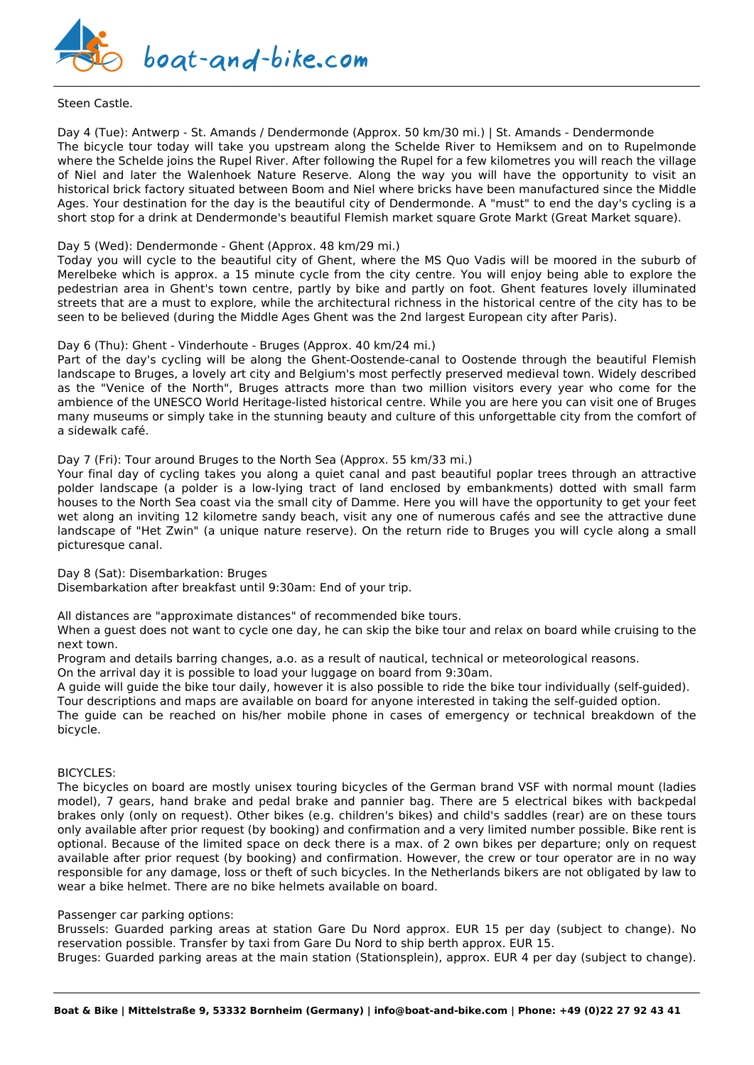

#### Steen Castle.

Day 4 (Tue): Antwerp - St. Amands / Dendermonde (Approx. 50 km/30 mi.) | St. Amands - Dendermonde The bicycle tour today will take you upstream along the Schelde River to Hemiksem and on to Rupelmonde where the Schelde joins the Rupel River. After following the Rupel for a few kilometres you will reach the village of Niel and later the Walenhoek Nature Reserve. Along the way you will have the opportunity to visit an historical brick factory situated between Boom and Niel where bricks have been manufactured since the Middle Ages. Your destination for the day is the beautiful city of Dendermonde. A "must" to end the day's cycling is a short stop for a drink at Dendermonde's beautiful Flemish market square Grote Markt (Great Market square).

#### Day 5 (Wed): Dendermonde - Ghent (Approx. 48 km/29 mi.)

Today you will cycle to the beautiful city of Ghent, where the MS Quo Vadis will be moored in the suburb of Merelbeke which is approx. a 15 minute cycle from the city centre. You will enjoy being able to explore the pedestrian area in Ghent's town centre, partly by bike and partly on foot. Ghent features lovely illuminated streets that are a must to explore, while the architectural richness in the historical centre of the city has to be seen to be believed (during the Middle Ages Ghent was the 2nd largest European city after Paris).

#### Day 6 (Thu): Ghent - Vinderhoute - Bruges (Approx. 40 km/24 mi.)

Part of the day's cycling will be along the Ghent-Oostende-canal to Oostende through the beautiful Flemish landscape to Bruges, a lovely art city and Belgium's most perfectly preserved medieval town. Widely described as the "Venice of the North", Bruges attracts more than two million visitors every year who come for the ambience of the UNESCO World Heritage-listed historical centre. While you are here you can visit one of Bruges many museums or simply take in the stunning beauty and culture of this unforgettable city from the comfort of a sidewalk café.

#### Day 7 (Fri): Tour around Bruges to the North Sea (Approx. 55 km/33 mi.)

Your final day of cycling takes you along a quiet canal and past beautiful poplar trees through an attractive polder landscape (a polder is a low-lying tract of land enclosed by embankments) dotted with small farm houses to the North Sea coast via the small city of Damme. Here you will have the opportunity to get your feet wet along an inviting 12 kilometre sandy beach, visit any one of numerous cafés and see the attractive dune landscape of "Het Zwin" (a unique nature reserve). On the return ride to Bruges you will cycle along a small picturesque canal.

Day 8 (Sat): Disembarkation: Bruges

Disembarkation after breakfast until 9:30am: End of your trip.

All distances are "approximate distances" of recommended bike tours.

When a guest does not want to cycle one day, he can skip the bike tour and relax on board while cruising to the next town.

Program and details barring changes, a.o. as a result of nautical, technical or meteorological reasons.

On the arrival day it is possible to load your luggage on board from 9:30am.

A guide will guide the bike tour daily, however it is also possible to ride the bike tour individually (self-guided). Tour descriptions and maps are available on board for anyone interested in taking the self-guided option. The guide can be reached on his/her mobile phone in cases of emergency or technical breakdown of the bicycle.

#### BICYCLES:

The bicycles on board are mostly unisex touring bicycles of the German brand VSF with normal mount (ladies model), 7 gears, hand brake and pedal brake and pannier bag. There are 5 electrical bikes with backpedal brakes only (only on request). Other bikes (e.g. children's bikes) and child's saddles (rear) are on these tours only available after prior request (by booking) and confirmation and a very limited number possible. Bike rent is optional. Because of the limited space on deck there is a max. of 2 own bikes per departure; only on request available after prior request (by booking) and confirmation. However, the crew or tour operator are in no way responsible for any damage, loss or theft of such bicycles. In the Netherlands bikers are not obligated by law to wear a bike helmet. There are no bike helmets available on board.

#### Passenger car parking options:

Brussels: Guarded parking areas at station Gare Du Nord approx. EUR 15 per day (subject to change). No reservation possible. Transfer by taxi from Gare Du Nord to ship berth approx. EUR 15.

Bruges: Guarded parking areas at the main station (Stationsplein), approx. EUR 4 per day (subject to change).